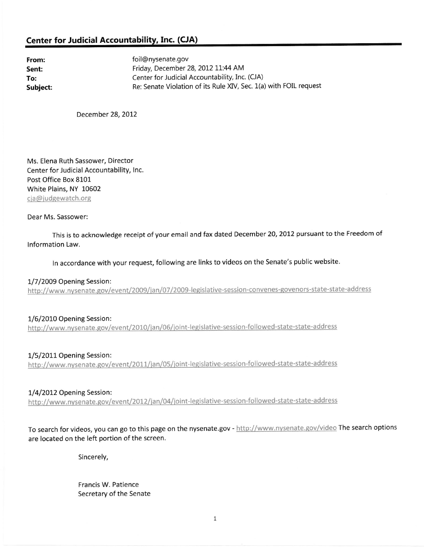## Center for Judicial Accountability, Inc. (CJA)

From: Sent: To: Subiect: foil@nysenate.gov Friday, December 28, 2012 11:44 AM Center for Judicial Accountability, Inc. (CJA) Re: Senate Violation of its Rule XV, Sec. 1(a) with FOIL request

December 28, 2012

Ms. Elena Ruth Sassower, Director Center for Judicial Accountability, lnc. Post Office Box 8101 White Plains, NY L0502 cja@judgewatch.org

Dear Ms. Sassower:

This is to acknowledge receipt of your email and fax dated December 20, 2012 pursuant to the Freedom of lnformation Law.

In accordance with your request, following are links to videos on the Senate's public website.

1/7/2009 Opening Session: http://www.nysenate.gov/event/2009/jan/07/2009-legislative-session-convenes-govenors-state-state-address

1/6/2010 Opening Session: http://www.nysenate.gov/event/2010/jan/06/joint-legislative-session-followed-state-state-address

1/5/2011 Opening Session: http://www.nysenate.gov/event/2011/jan/05/joint-legislative-session-followed-state-state-address

1/4/2012 Opening Session:<br>http://www.nysenate.gov/event/2012/jan/04/joint-legislative-session-followed-state-state-address

To search for videos, you can go to this page on the nysenate.gov - http://www.nysenate.gov/video The search options are located on the left portion of the screen.

Sincerely,

Francis W. Patience Secretary of the Senate